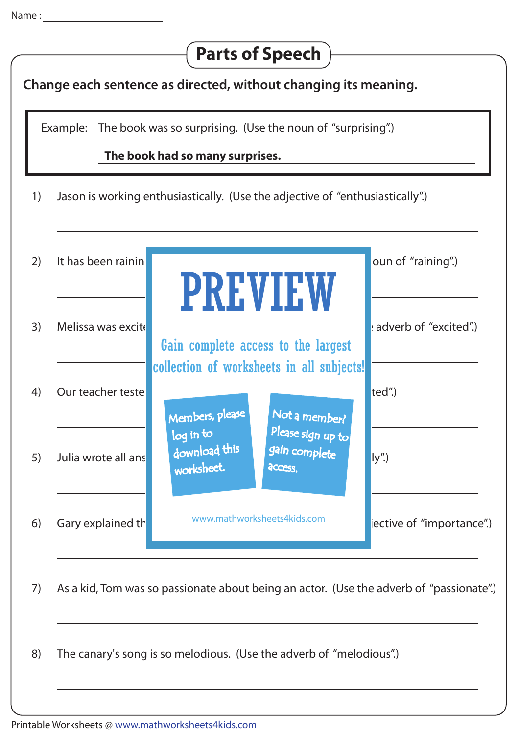